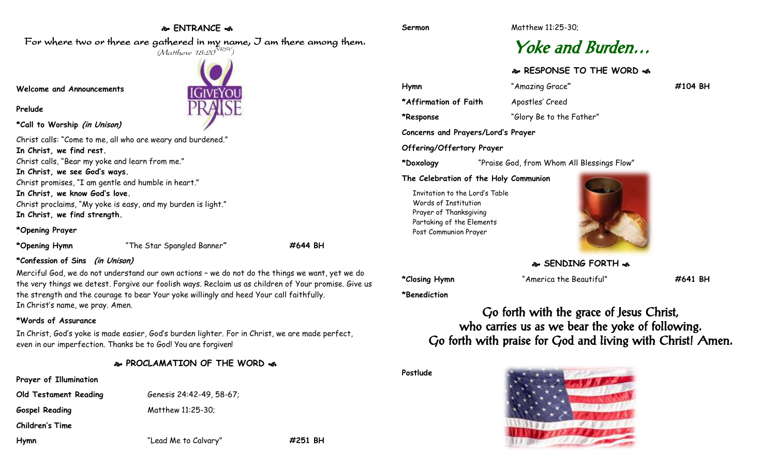## **ENTRANCE**  For where two or three are gathered in my name, I am there among them.

 $(M$ atthew 18:20 $^{NRSV})$ 

**IGIVEYOI** 

# Yoke and Burden…

**RESPONSE TO THE WORD** 

**Hymn** "Amazing Grace**" #104 BH \*Affirmation of Faith** Apostles' Creed

**\*Response** "Glory Be to the Father"

**Concerns and Prayers/Lord's Prayer**

**Offering/Offertory Prayer**

**\*Doxology** "Praise God, from Whom All Blessings Flow"

**The Celebration of the Holy Communion**

Invitation to the Lord's Table Words of Institution Prayer of Thanksgiving Partaking of the Elements Post Communion Prayer



**SENDING FORTH** 

**\*Closing Hymn** "America the Beautiful" **#641 BH**

**\*Benediction**

Go forth with the grace of Jesus Christ, who carries us as we bear the yoke of following. Go forth with praise for God and living with Christ! Amen.

**Postlude**



**Welcome and Announcements**

**Prelude**

**\*Call to Worship (in Unison)**

Christ calls: "Come to me, all who are weary and burdened." **In Christ, we find rest.** Christ calls, "Bear my yoke and learn from me." **In Christ, we see God's ways.**

Christ promises, "I am gentle and humble in heart."

**In Christ, we know God's love.** Christ proclaims, "My yoke is easy, and my burden is light."

**In Christ, we find strength.**

**\*Opening Prayer**

**\*Opening Hymn** "The Star Spangled Banner**" #644 BH**

### **\*Confession of Sins (in Unison)**

Merciful God, we do not understand our own actions – we do not do the things we want, yet we do the very things we detest. Forgive our foolish ways. Reclaim us as children of Your promise. Give us the strength and the courage to bear Your yoke willingly and heed Your call faithfully. In Christ's name, we pray. Amen.

### **\*Words of Assurance**

In Christ, God's yoke is made easier, God's burden lighter. For in Christ, we are made perfect, even in our imperfection. Thanks be to God! You are forgiven!

**PROCLAMATION OF THE WORD** 

#### **Prayer of Illumination**

**Old Testament Reading** Genesis 24:42-49, 58-67;

Gospel Reading Matthew 11:25-30;

**Children's Time**

**Hymn** "Lead Me to Calvary" **#251 BH**